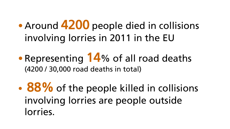• Around 4200 people died in collisions involving lorries in 2011 in the EU

• Representing 14% of all road deaths (4200 / 30,000 road deaths in total)

• 88% of the people killed in collisions involving lorries are people outside lorries.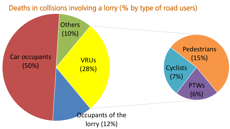## Deaths in collisions involving a lorry (% by type of road users)

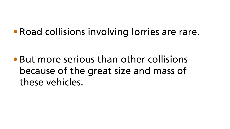## • Road collisions involving lorries are rare.

• But more serious than other collisions because of the great size and mass of these vehicles.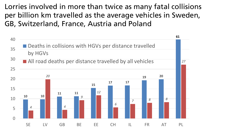Lorries involved in more than twice as many fatal collisions per billion km travelled as the average vehicles in Sweden, GB, Switzerland, France, Austria and Poland

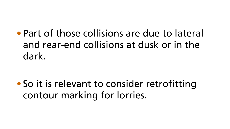• Part of those collisions are due to lateral and rear-end collisions at dusk or in the dark.

• So it is relevant to consider retrofitting contour marking for lorries.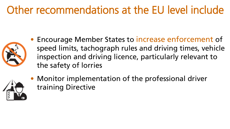## Other recommendations at the EU level include



• Encourage Member States to increase enforcement of speed limits, tachograph rules and driving times, vehicle inspection and driving licence, particularly relevant to the safety of lorries



• Monitor implementation of the professional driver training Directive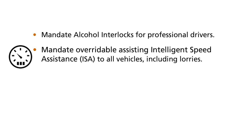• Mandate Alcohol Interlocks for professional drivers.



• Mandate overridable assisting Intelligent Speed Assistance (ISA) to all vehicles, including lorries.